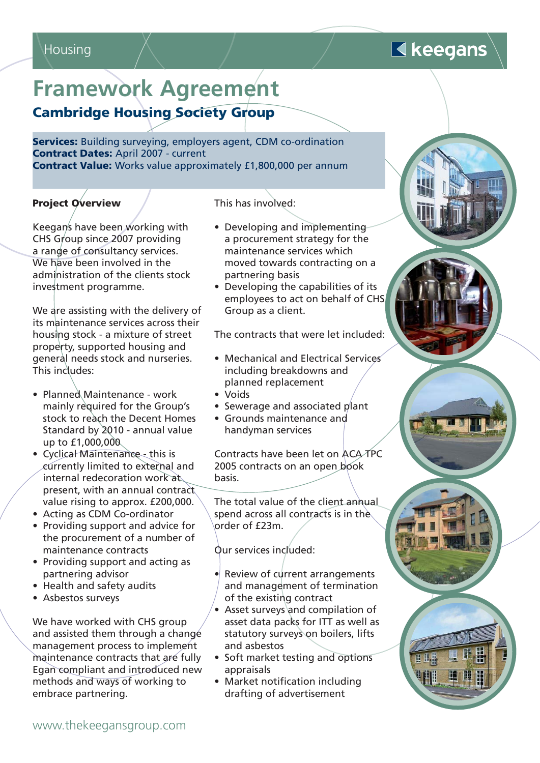### $\blacksquare$  keegans

# **Framework Agreement**

**Cambridge Housing Society Group**

**Services:** Building surveying, employers agent, CDM co-ordination **Contract Dates:** April 2007 - current **Contract Value:** Works value approximately £1,800,000 per annum

#### **Project Overview**

Keegans have been working with CHS Group since 2007 providing a range of consultancy services. We have been involved in the administration of the clients stock investment programme.

We are assisting with the delivery of its maintenance services across their housing stock - a mixture of street property, supported housing and general needs stock and nurseries. This includes:

- Planned Maintenance work mainly required for the Group's stock to reach the Decent Homes Standard by 2010 - annual value up to £1,000,000
- Cyclical Maintenance this is currently limited to external and internal redecoration work at present, with an annual contract value rising to approx. £200,000.
- Acting as CDM Co-ordinator
- Providing support and advice for the procurement of a number of maintenance contracts
- Providing support and acting as partnering advisor
- Health and safety audits
- Asbestos surveys

We have worked with CHS group and assisted them through a change management process to implement maintenance contracts that are fully Egan compliant and introduced new methods and ways of working to embrace partnering.

This has involved:

- Developing and implementing a procurement strategy for the maintenance services which moved towards contracting on a partnering basis
- Developing the capabilities of its employees to act on behalf of CHS Group as a client.

The contracts that were let included:

- Mechanical and Electrical Services including breakdowns and planned replacement
- Voids
- Sewerage and associated plant
- Grounds maintenance and handyman services

Contracts have been let on ACA TPC 2005 contracts on an open book basis.

The total value of the client annual spend across all contracts is in the order of £23m.

Our services included:

- Review of current arrangements and management of termination of the existing contract
- Asset surveys and compilation of asset data packs for ITT as well as statutory surveys on boilers, lifts and asbestos
- Soft market testing and options appraisals

 $\mathbf{\mu} \, \mathbf{0}$ 

• Market notification including drafting of advertisement